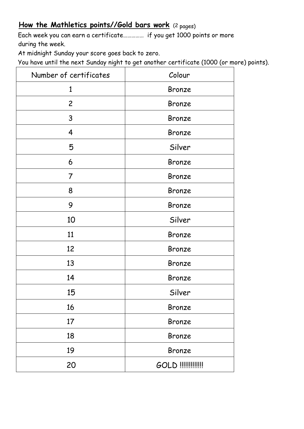## How the Mathletics points//Gold bars work (2 pages)

Each week you can earn a certificate…………… if you get 1000 points or more during the week.

At midnight Sunday your score goes back to zero.

You have until the next Sunday night to get another certificate (1000 (or more) points).

| Number of certificates | Colour            |
|------------------------|-------------------|
| $\mathbf{1}$           | Bronze            |
| $\overline{2}$         | Bronze            |
| 3                      | Bronze            |
| 4                      | Bronze            |
| 5                      | Silver            |
| 6                      | Bronze            |
| 7                      | Bronze            |
| 8                      | Bronze            |
| 9                      | Bronze            |
| 10                     | Silver            |
| 11                     | Bronze            |
| 12                     | Bronze            |
| 13                     | Bronze            |
| 14                     | Bronze            |
| 15                     | Silver            |
| 16                     | Bronze            |
| 17                     | Bronze            |
| 18                     | Bronze            |
| 19                     | Bronze            |
| 20                     | GOLD !!!!!!!!!!!! |